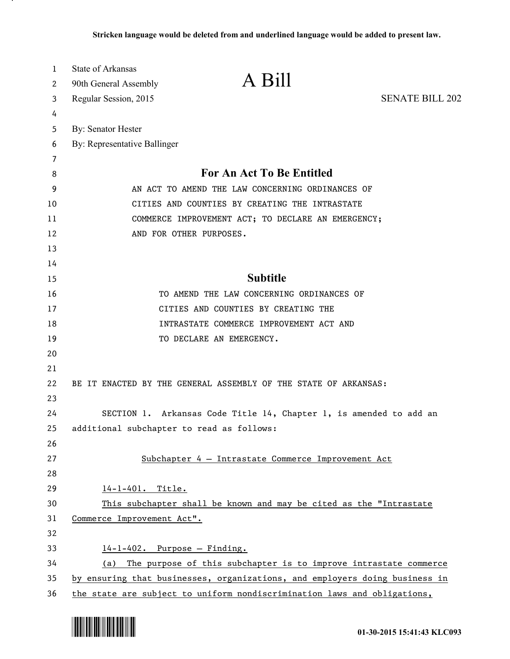| 1  | <b>State of Arkansas</b>                                                    |                                                                    |                        |  |
|----|-----------------------------------------------------------------------------|--------------------------------------------------------------------|------------------------|--|
| 2  | 90th General Assembly                                                       | A Bill                                                             |                        |  |
| 3  | Regular Session, 2015                                                       |                                                                    | <b>SENATE BILL 202</b> |  |
| 4  |                                                                             |                                                                    |                        |  |
| 5  | By: Senator Hester                                                          |                                                                    |                        |  |
| 6  | By: Representative Ballinger                                                |                                                                    |                        |  |
| 7  |                                                                             |                                                                    |                        |  |
| 8  | For An Act To Be Entitled                                                   |                                                                    |                        |  |
| 9  | AN ACT TO AMEND THE LAW CONCERNING ORDINANCES OF                            |                                                                    |                        |  |
| 10 | CITIES AND COUNTIES BY CREATING THE INTRASTATE                              |                                                                    |                        |  |
| 11 | COMMERCE IMPROVEMENT ACT; TO DECLARE AN EMERGENCY;                          |                                                                    |                        |  |
| 12 | AND FOR OTHER PURPOSES.                                                     |                                                                    |                        |  |
| 13 |                                                                             |                                                                    |                        |  |
| 14 |                                                                             |                                                                    |                        |  |
| 15 |                                                                             | <b>Subtitle</b>                                                    |                        |  |
| 16 |                                                                             | TO AMEND THE LAW CONCERNING ORDINANCES OF                          |                        |  |
| 17 |                                                                             | CITIES AND COUNTIES BY CREATING THE                                |                        |  |
| 18 |                                                                             | INTRASTATE COMMERCE IMPROVEMENT ACT AND                            |                        |  |
| 19 | TO DECLARE AN EMERGENCY.                                                    |                                                                    |                        |  |
| 20 |                                                                             |                                                                    |                        |  |
| 21 |                                                                             |                                                                    |                        |  |
| 22 | BE IT ENACTED BY THE GENERAL ASSEMBLY OF THE STATE OF ARKANSAS:             |                                                                    |                        |  |
| 23 |                                                                             |                                                                    |                        |  |
| 24 |                                                                             | SECTION 1. Arkansas Code Title 14, Chapter 1, is amended to add an |                        |  |
| 25 | additional subchapter to read as follows:                                   |                                                                    |                        |  |
| 26 |                                                                             |                                                                    |                        |  |
| 27 |                                                                             | Subchapter 4 - Intrastate Commerce Improvement Act                 |                        |  |
| 28 |                                                                             |                                                                    |                        |  |
| 29 | 14-1-401. Title.                                                            |                                                                    |                        |  |
| 30 | This subchapter shall be known and may be cited as the "Intrastate"         |                                                                    |                        |  |
| 31 | Commerce Improvement Act".                                                  |                                                                    |                        |  |
| 32 |                                                                             |                                                                    |                        |  |
| 33 | $14-1-402$ . Purpose - Finding.                                             |                                                                    |                        |  |
| 34 | (a)                                                                         | The purpose of this subchapter is to improve intrastate commerce   |                        |  |
| 35 | by ensuring that businesses, organizations, and employers doing business in |                                                                    |                        |  |
| 36 | the state are subject to uniform nondiscrimination laws and obligations,    |                                                                    |                        |  |



.